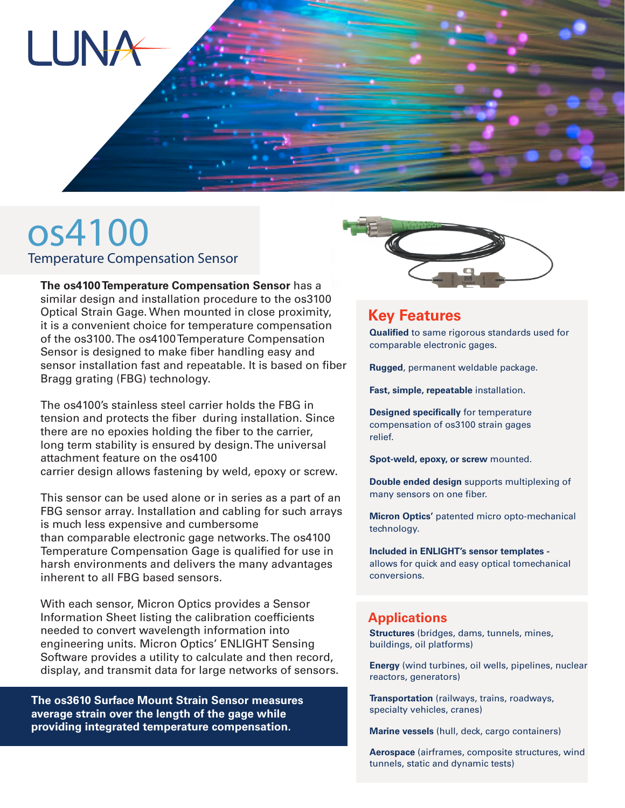

# os4100 Temperature Compensation Sensor

**The os4100 Temperature Compensation Sensor** has a similar design and installation procedure to the os3100 Optical Strain Gage. When mounted in close proximity, it is a convenient choice for temperature compensation of the os3100. The os4100 Temperature Compensation Sensor is designed to make fiber handling easy and sensor installation fast and repeatable. It is based on fiber Bragg grating (FBG) technology.

The os4100's stainless steel carrier holds the FBG in tension and protects the fiber during installation. Since there are no epoxies holding the fiber to the carrier, long term stability is ensured by design. The universal attachment feature on the os4100 carrier design allows fastening by weld, epoxy or screw.

This sensor can be used alone or in series as a part of an FBG sensor array. Installation and cabling for such arrays is much less expensive and cumbersome than comparable electronic gage networks. The os4100 Temperature Compensation Gage is qualified for use in harsh environments and delivers the many advantages inherent to all FBG based sensors.

With each sensor, Micron Optics provides a Sensor Information Sheet listing the calibration coefficients needed to convert wavelength information into engineering units. Micron Optics' ENLIGHT Sensing Software provides a utility to calculate and then record, display, and transmit data for large networks of sensors.

**The os3610 Surface Mount Strain Sensor measures average strain over the length of the gage while providing integrated temperature compensation.**



### **Key Features**

**Qualified** to same rigorous standards used for comparable electronic gages.

**Rugged**, permanent weldable package.

**Fast, simple, repeatable** installation.

**Designed specifically** for temperature compensation of os3100 strain gages relief.

**Spot-weld, epoxy, or screw** mounted.

**Double ended design** supports multiplexing of many sensors on one fiber.

**Micron Optics'** patented micro opto-mechanical technology.

**Included in ENLIGHT's sensor templates**  allows for quick and easy optical tomechanical conversions.

#### **Applications**

**Structures** (bridges, dams, tunnels, mines, buildings, oil platforms)

**Energy** (wind turbines, oil wells, pipelines, nuclear reactors, generators)

**Transportation** (railways, trains, roadways, specialty vehicles, cranes)

**Marine vessels** (hull, deck, cargo containers)

**Aerospace** (airframes, composite structures, wind tunnels, static and dynamic tests)